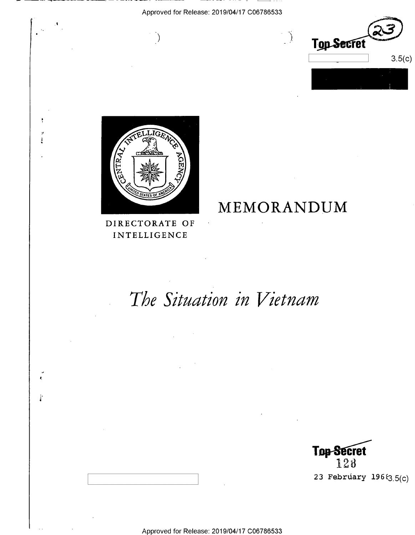

I op Secret  $160$ 23 February  $196\{3.5(c)$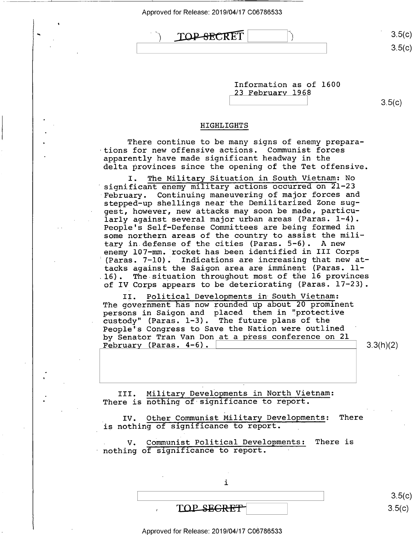TOP-SECRET

 $\sqrt{ }$ 

\ \ <>  $3.5(c)$ 

| Information as of 1600 |  |
|------------------------|--|
| 23 February 1968       |  |

 $3.5(c)$ 

## HIGHLIGHTS

There continue to be many signs of enemy preparations for new offensive actions. Communist forces apparently have made significant headway in the delta provinces since the opening of the Tet offensive.

I. The Military Situation in South Vietnam: No significant enemy military actions occurred on 21-23 February. Continuing maneuvering of major forces and stepped-up shellings near the Demilitarized Zone suggest, however, new attacks may soon be made, particularly against several major urban areas (Paras. 1-4). People's Self-Defense Committees are being formed in some northern areas of the country to assist the military in defense of the cities (Paras. 5-6). A new enemy l07—mm. rocket has been identified in III Corps (Paras. 7-l0). Indications are increasing that new attacks against the Saigon area are imminent (Paras. lll6). The situation throughout most of the l6 provinces of IV Corps appears to be deteriorating (Paras. 17-23).

II. Political Developments in South Vietnam: The government has now rounded up about 20 prominent persons in Saigon and placed them in "protective custody" (Paras. 1-3). The future plans of the People's Congress to Save the Nation were outlined ' by Senator Tran Van Don at a press conference on 21 February (Paras.  $4-6$ ).  $\vert$  3.3(h)(2)

III. Military Developments in North Vietnam: There is nothing of significance to report.

IV. Other Communist Military Developments: There is nothing of significance to report.

V. Communist Political Developments: There is nothing of significance to report.

 $\mathbf i$ 

 $\text{TOP}$  secrets  $\blacksquare$  s.5(c)

Approved for Release: 2019/04/17 C06786533

 $\begin{bmatrix} \overline{a} & \overline{b} & \overline{c} & \overline{c} & \overline{c} & \overline{c} & \overline{c} & \overline{c} & \overline{c} & \overline{c} & \overline{c} & \overline{c} & \overline{c} & \overline{c} & \overline{c} & \overline{c} & \overline{c} & \overline{c} & \overline{c} & \overline{c} & \overline{c} & \overline{c} & \overline{c} & \overline{c} & \overline{c} & \overline{c} & \overline{c} & \overline{c} & \overline{c} & \overline{c} & \overline{$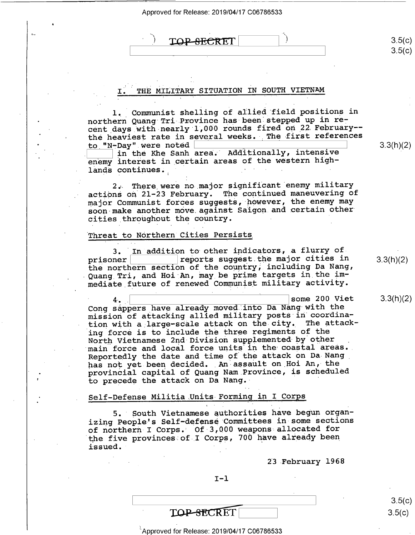$\text{TOP-SECTION}$  1.5(c)

# THE MILITARY SITUATION IN SOUTH VIETNAM

l.\_ Communist shelling of allied field positions in northern Quang Tri Province has been stepped up in recent days with nearly 1,000 rounds fired on 22 February-the heaviest rate in several weeks. The first references<br>to "N-Day" were noted to "N-Day" were noted  $\qquad \qquad \qquad 3.3(h)$ 

I: In the Khe Sanh area. Additionally, intensive enemy interest in certain areas of the western highlands continues.

2»\_ There were no major significant enemy military actions on 21-23 February. The continued maneuvering of major Communist forces suggests, however, the enemy may soon make another move.against Saigon.and certain other cities throughout the country.

#### Threat to Northern Cities Persists

3. In addition to other indicators, a flurry of<br>prisoner reports suggest the major cities in prisoner | state suggest the major cities in material proportion of the counter including Da Nang the northern section of the country, including Da Nang, Quang Tri, and Hoi An, may be prime targets in the immediate future of renewed Communist military activity.

 $\frac{4}{1}$ ,  $\frac{1}{1}$  some 200 Viet 3.3(h) Cong sappers have already moved into Da Nang-with the mission of attacking allied military posts in coordination with a large—scale attack on the city. The attacking force is to include the three regiments of the North Vietnamese 2nd Division supplemented by other main force and local force units in the coastal areas. Reportedly the date and time of the attack on Da-Nang\_ has not yet been decided. An assault on Hoi An, the provincial capital of Quang Nam.Province, is scheduled ' to precede the attack on Da Nang.

## Self-Defense Militia Units Forming in I Corps

5." South Vietnamese authorities have begun organizing Peoplels Self—defense Committees in some sections of northern-I Corps.' Of 3,000 weapons allocated for the five provinces of,I Corps, 700 have already been  $\frac{1}{2}$  issued.

 $I-1$ 

 $\qquad \qquad$   $\qquad \qquad$   $\qquad \qquad$   $\qquad \qquad$   $\qquad \qquad$   $\qquad \qquad$   $\qquad \qquad$   $\qquad \qquad$   $\qquad \qquad$   $\qquad \qquad$   $\qquad \qquad$   $\qquad \qquad$   $\qquad \qquad$   $\qquad \qquad$   $\qquad \qquad$   $\qquad \qquad$   $\qquad \qquad$   $\qquad \qquad$   $\qquad \qquad$   $\qquad \qquad$   $\qquad \qquad$   $\qquad \qquad$   $\qquad \qquad$   $\qquad \qquad$   $\qquad \$ 

23 February 1968

 $3.5(c)$ 

 $^{\circ}$ Approved for Release: 2019/04/17 C06786533

 $3.3(h)(2)$ 

 $\vert$  3.5(c)

 $3.3(h)(2)$ 

 $3.3(h)(2)$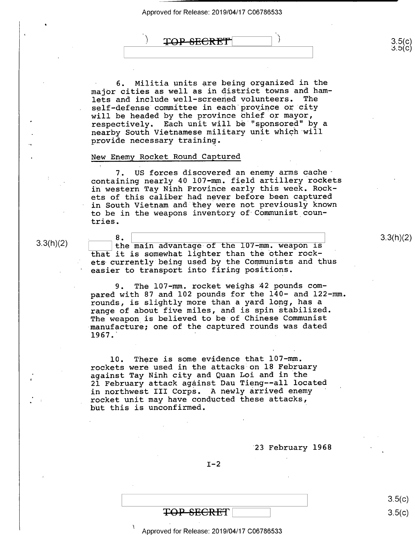TOP SECRET

' 6. Militia units are being organized in the major cities as well as in district towns and ham-<br>lets and include well-screened volunteers. The lets and include well-screened volunteers. self-defense committee in each province or city will be headed by the province chief or mayor, respectively. Each unit will be "sponsored" by a nearby South Vietnamese military unit which will provide necessary training. -

#### New Enemy Rocket Round Captured

7. US forces discovered an enemy arms cache containing nearly 40 l07—mm. field artillery rockets in western Tay Ninh Province early this week. Rockets of this caliber had never before been captured in South Vietnam and they were not previously known to be in the weapons inventory of Communist coun-<br>tries. tries. '

 $3.3(h)(2)$ 

 $8.$   $\overline{\hspace{1cm}}$  3.3(h)(2) the main advantage of the I07-mm. weapon is  $\hspace{1cm}$  3.3(h)(2) that it is somewhat lighter than the other rockets currently being used by the Communists and thus easier to transport into firing positions.

9. The 107-mm. rocket weighs 42 pounds compared with 87 and 102 pounds for the 140- and 122-mm. rounds, is slightly more than a yard long, has a range of about five miles, and is spin stabilized. The weapon is believed to be of Chinese Communist manufacture; one of the captured rounds was dated  $1967.$ 

l0. There is some evidence that 107-mm. rockets were used in the attacks on l8 February against Tay Ninh city and Quan Loi and in the 21 February attack against Dau Tieng——all located in northwest III Corps. A newly arrived enemy rocket unit may have conducted these attacks, but this is unconfirmed.

'23 February 1968

 $I-2$ 

TOP SECRET 3.5(<br>
ed for Release: 2019/04/17 C06786533 1 Approved for Release: 2019/04/17 C06786533

 $3.5(c)$ 

 $\sim$  $\cdot$ 

 $3.5(c)$ <br> $3.5(c)$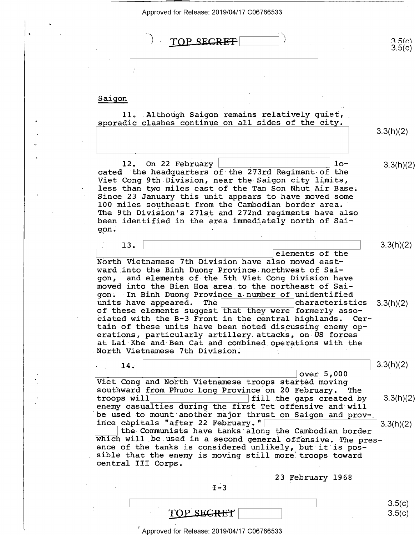| Approved for Release: 2019/04/17 C06786533                                                                                                                                                                                                                                                                                                                                                                                                         |                  |
|----------------------------------------------------------------------------------------------------------------------------------------------------------------------------------------------------------------------------------------------------------------------------------------------------------------------------------------------------------------------------------------------------------------------------------------------------|------------------|
| TOP SEGRET                                                                                                                                                                                                                                                                                                                                                                                                                                         | 3.5(c)<br>3.5(c) |
| Saigon                                                                                                                                                                                                                                                                                                                                                                                                                                             |                  |
| 11. Although Saigon remains relatively quiet,<br>sporadic clashes continue on all sides of the city.                                                                                                                                                                                                                                                                                                                                               | 3.3(h)(2)        |
| 12. On 22 February<br>$10-$<br>cated the headquarters of the 273rd Regiment of the<br>Viet Cong 9th Division, near the Saigon city limits,<br>less than two miles east of the Tan Son Nhut Air Base.<br>Since 23 January this unit appears to have moved some<br>100 miles southeast from the Cambodian border area.<br>The 9th Division's 271st and 272nd regiments have also<br>been identified in the area immediately north of Sai-<br>gon.    | 3.3(h)(2)        |
| 13.<br>elements of the<br>North Vietnamese 7th Division have also moved east-<br>ward into the Binh Duong Province northwest of Sai-<br>and elements of the 5th Viet Cong Division have<br>gon,<br>moved into the Bien Hoa area to the northeast of Sai-                                                                                                                                                                                           | 3.3(h)(2)        |
| gon. In Binh Duong Province a number of unidentified<br>units have appeared. The and the characteristics<br>of these elements suggest that they were formerly asso-<br>ciated with the B-3 Front in the central highlands. Cer-<br>tain of these units have been noted discussing enemy op-<br>erations, particularly artillery attacks, on US forces<br>at Lai Khe and Ben Cat and combined operations with the<br>North Vietnamese 7th Division. | 3.3(h)(2)        |
| 14.<br>over 5,000<br>Viet Cong and North Vietnamese troops started moving                                                                                                                                                                                                                                                                                                                                                                          | 3.3(h)(2)        |
| southward from Phuoc Long Province on 20 February.<br>The<br>troops will<br>fill the gaps created by<br>enemy casualties during the first Tet offensive and will<br>be used to mount another major thrust on Saigon and prov-                                                                                                                                                                                                                      | 3.3(h)(2)        |
| ince capitals "after 22 February."<br>the Communists have tanks along the Cambodian border<br>which will be used in a second general offensive. The pres-<br>ence of the tanks is considered unlikely, but it is pos-<br>sible that the enemy is moving still more troops toward<br>central III Corps.                                                                                                                                             | 3.3(h)(2)        |
| 23 February 1968<br>$I - 3$                                                                                                                                                                                                                                                                                                                                                                                                                        |                  |
| <b>SECRET</b><br>TOP.                                                                                                                                                                                                                                                                                                                                                                                                                              | 3.5(c)<br>3.5(c) |

 $\lambda$ 

 $\mathbf{t}$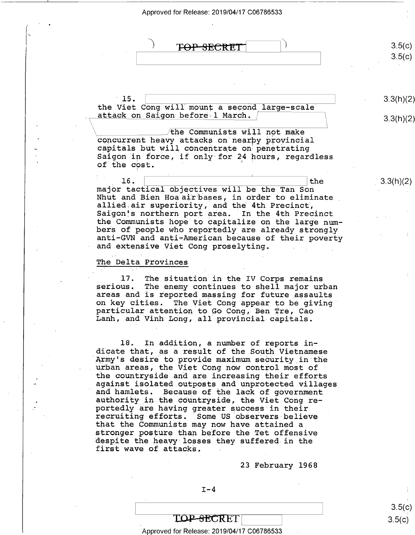

 $I-4$ 

23 February 1968

stronger posture than before the Tet offensive<br>despite the heavy losses they suffered in the<br>first wave of attacks,

### TOP-SECRET

#### Approved for Release: 2019/04/17 C06786533 .

 $3.5(c)$  $3.5(c)$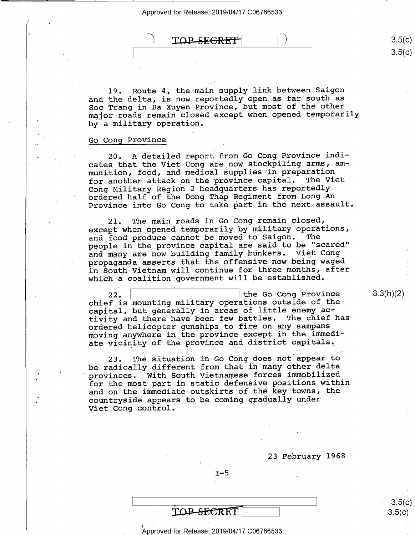$\overrightarrow{TOPSEERET}$  3.5(

19. Route 4, the main supply link between Saigon and the delta, is now reportedly open as far south as Soc Trang in Ba Xuyen Province, but most of the other major-roads remain closed except when opened temporarily by a military operation.

## Go Cong Province

20. A detailed report from Go Cong Province indicates that the Viet Cong are now stockpiling-arms, ammunition, food, and medical supplies in preparation for another attack on the province capital. The Viet Cong Military Region-2 headquarters has-reportedly ordered half of the Dong Thap Regiment from Long An Province into Go Cong to take part in the next assault.

21. The main roads in Go Cong remain\_closed, except when opened temporarily by military operations,<br>and food produce cannot be moved to Saigon. The and food produce cannot be moved to Saigon. people in the province capital are said to be "scared". and many are now building family bunkers. Viet Cong propaganda asserts that the offensive now being waged in South Vietnam will continue for three months, after which a coalition government will be established.

22.  $\vert$  the Go Cong Province chief is mounting military operations outside of the capital, but generally in areas of little enemy  $ac$ tivity and there have been few battles. The chief has ordered helicopter gunships to\_fire-on\_any sampans moving anywhere in the province except in the immediate vicinity of the province and district capitals.

23. The situation in Go Cong does not appear to be radically different from that in many other delta provinces. 'With South Vietnamese forces immobilized for-the-most-part in static defensive positions within and on the immediate outskirts of the key.towns, the countryside appears to be coming gradually under ' Viet Cong control.

.23 February 1968

 $I-5$ 

 $3.3(h)(2)$ 

 $3.5(c)$  $\left( c\right)$ 

 $3.5(c)$  $3.5(c)$ 

#### \_ Approved for Release: 2019/04/17 C06786533

TOP-SECRET

\ -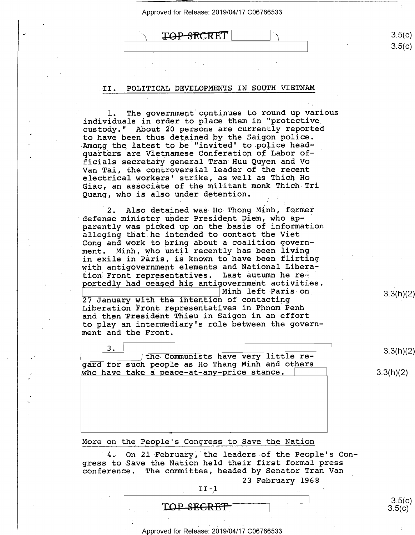Ved for Release: 2019/04/17 C06786533<br> **TOP-SECRET** 

### II. POLITICAL DEVELOPMENTS IN SOUTH VIETNAM

1. The government continues to round up various individuals in order to place them in "protective custody." About 20 persons are currently reported to have been thus detained by the Saigon police.<br>Among the latest to be "invited" to police headquarters are Vietnamese Conferation of Labor officials secretary general Tran Huu Quyen-and Vo Van Tai, the controversial leader of the recent electrical workers' strike, as well as Thich Ho Giac, an associate of the militant monk Thich Tri Quang, who is also under detention.

2. Also detained was Ho Thong Minh, former defense minister under President Diem, who apparently was picked up on the basis of information alleging that he intended to contact the Viet Cong and work to bring about a coalition government. Minh, who until recently has been living in exile in Paris, is known to have been flirting with antigovernment elements and National Liberation Front representatives. Last autumn he reportedly had ceased his antigovernment activities.<br>| Minh left Paris on

Minh left Paris on the contacting the same of the intention of contacting the same of  $3.3(h)(2)$ <br> Liberation Front representatives in Phnom Penh and then President Thieu in Saigon in an effort to play an intermediary's role between the government and the Front.

3 . \ 3.<br>
The Communists have very little re-<br>
yard for such people as Ho Thang Minh and others<br>
who have take a peace-at-any-price stance.<br>
3.3(h)(2) who have take a peace-at-any-price stance.

More on the People's Congress to Save the Nation

On 21 February, the leaders of the People's Congress to Save the Nation held their first formal press conference. The committee, headed by Senator Tran Van

23 February 1968

 $II-1$ 

# TOP-SE<del>CRET</del>

' Approved for Release: 2019/04/17 C06786533 '

3.5(c)<br>3.5(c)

 $3.5(c)$  $3.5(c)$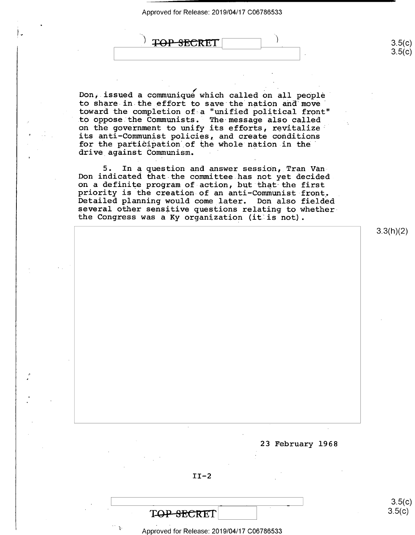<del>TOP SECRET</del>  $\frac{1}{\sqrt{2}}$ 

Don, issued a communique which called on all people to share in the effort to save the nation and move' toward the completion of~a "unified political front" to oppose the Communists. The message also called on the government to unify its efforts, revitalize' its anti—Communist policies, and create conditions for the participation of the whole nation in the' drive against Communism.

5. In a question and answer session, Tran Van Don indicated that the committee has not yet decided on a definite program of action, but that the first<br>priority is the creation of an anti-Communist front.<br>Detailed planning would come later. Don also fielded<br>several other sensitive questions relating to whether the Congress was a Ky organization (it is not).

3.3(h)(2)

 $3.5(c)$ 

 $3.5(c)$ 

23 February 1968

 $\overline{\phantom{a}}$   $\overline{\phantom{a}}$   $\overline{\phantom{a}}$   $\overline{\phantom{a}}$   $\overline{\phantom{a}}$   $\overline{\phantom{a}}$   $\overline{\phantom{a}}$   $\overline{\phantom{a}}$   $\overline{\phantom{a}}$   $\overline{\phantom{a}}$   $\overline{\phantom{a}}$   $\overline{\phantom{a}}$   $\overline{\phantom{a}}$   $\overline{\phantom{a}}$   $\overline{\phantom{a}}$   $\overline{\phantom{a}}$   $\overline{\phantom{a}}$   $\overline{\phantom{a}}$   $\overline{\$ 

 $3.5(c)$ 

 $II-2$ 

 $\qquad \qquad \overline{\qquad \qquad }$ 

' Appreved for Release: 2019/04/17 C06786533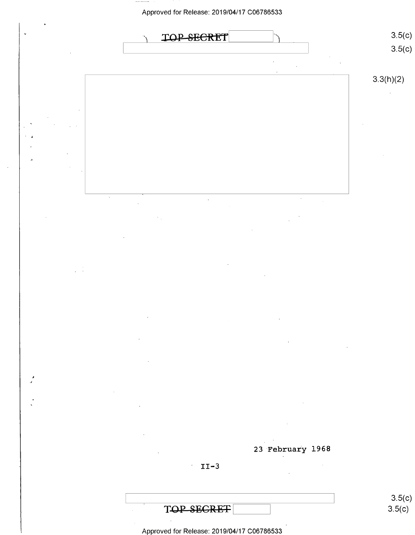

Approved for Release: 2019/04/17 C06786533

 $3.5(c)$ 

TOP-SEGRET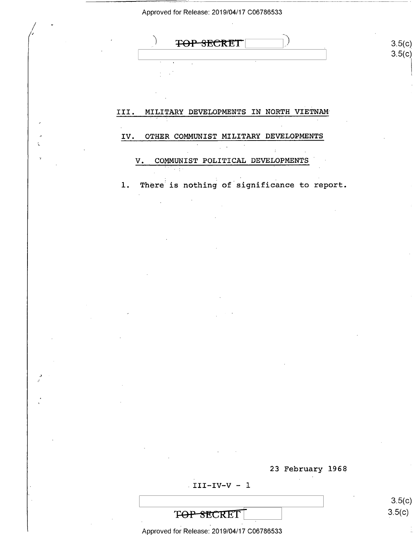